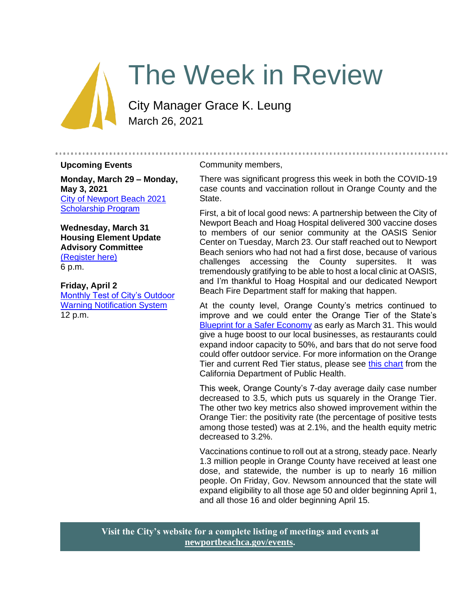# The Week in Review

City Manager Grace K. Leung March 26, 2021

#### **Upcoming Events**

**Monday, March 29 – Monday, May 3, 2021** [City of Newport Beach 2021](https://www.newportbeachca.gov/government/departments/human-resources/2021-scholarship-program)  [Scholarship Program](https://www.newportbeachca.gov/government/departments/human-resources/2021-scholarship-program)

**Wednesday, March 31 Housing Element Update Advisory Committee** [\(Register here\)](https://zoom.us/webinar/register/WN_NQr6oF7mQVq0Fgcnl_Qlag) 6 p.m.

**Friday, April 2** [Monthly Test of City's Outdoor](https://newportbeachca.gov/Home/Components/Calendar/Event/66022/72?curm=4&cury=2021)  [Warning Notification System](https://newportbeachca.gov/Home/Components/Calendar/Event/66022/72?curm=4&cury=2021) 12 p.m.

#### Community members,

There was significant progress this week in both the COVID-19 case counts and vaccination rollout in Orange County and the State.

...................

First, a bit of local good news: A partnership between the City of Newport Beach and Hoag Hospital delivered 300 vaccine doses to members of our senior community at the OASIS Senior Center on Tuesday, March 23. Our staff reached out to Newport Beach seniors who had not had a first dose, because of various challenges accessing the County supersites. It was tremendously gratifying to be able to host a local clinic at OASIS, and I'm thankful to Hoag Hospital and our dedicated Newport Beach Fire Department staff for making that happen.

At the county level, Orange County's metrics continued to improve and we could enter the Orange Tier of the State's [Blueprint for a Safer Economy](https://covid19.ca.gov/safer-economy/) as early as March 31. This would give a huge boost to our local businesses, as restaurants could expand indoor capacity to 50%, and bars that do not serve food could offer outdoor service. For more information on the Orange Tier and current Red Tier status, please see [this chart](https://www.cdph.ca.gov/Programs/CID/DCDC/CDPH%20Document%20Library/COVID-19/Dimmer-Framework-September_2020.pdf) from the California Department of Public Health.

This week, Orange County's 7-day average daily case number decreased to 3.5, which puts us squarely in the Orange Tier. The other two key metrics also showed improvement within the Orange Tier: the positivity rate (the percentage of positive tests among those tested) was at 2.1%, and the health equity metric decreased to 3.2%.

Vaccinations continue to roll out at a strong, steady pace. Nearly 1.3 million people in Orange County have received at least one dose, and statewide, the number is up to nearly 16 million people. On Friday, Gov. Newsom announced that the state will expand eligibility to all those age 50 and older beginning April 1, and all those 16 and older beginning April 15.

**Visit the City's website for a complete listing of meetings and events at [newportbeachca.gov/events.](https://www.newportbeachca.gov/government/data-hub/city-calendar)**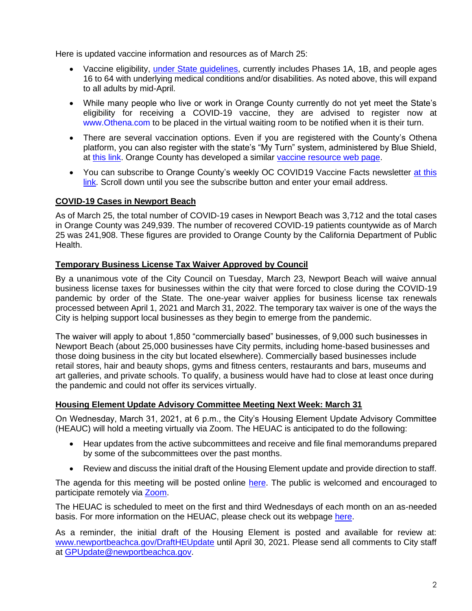Here is updated vaccine information and resources as of March 25:

- Vaccine eligibility, [under State guidelines,](https://covid19.ca.gov/vaccines/) currently includes Phases 1A, 1B, and people ages 16 to 64 with underlying medical conditions and/or disabilities. As noted above, this will expand to all adults by mid-April.
- While many people who live or work in Orange County currently do not yet meet the State's eligibility for receiving a COVID-19 vaccine, they are advised to register now at [www.Othena.com](https://lnks.gd/l/eyJhbGciOiJIUzI1NiJ9.eyJidWxsZXRpbl9saW5rX2lkIjoxMDAsInVyaSI6ImJwMjpjbGljayIsImJ1bGxldGluX2lkIjoiMjAyMTAzMTguMzcyMjIwMzEiLCJ1cmwiOiJodHRwOi8vd3d3Lk90aGVuYS5jb20ifQ.5OHW0-vcE_IzHFtKN3jd8yvcc10Sa2dqetK02U7cNhc/s/1420811472/br/100285178308-l) to be placed in the virtual waiting room to be notified when it is their turn.
- There are several vaccination options. Even if you are registered with the County's Othena platform, you can also register with the state's "My Turn" system, administered by Blue Shield, at [this link.](https://www.blueshieldca.com/bsca/bsc/wcm/connect/sites/sites_content_en/coronavirus/vaccine-locations) Orange County has developed a similar [vaccine resource web page.](https://occovid19.ochealthinfo.com/covid-19-vaccine-distribution-channels)
- You can subscribe to Orange County's weekly OC COVID19 Vaccine Facts newsletter at this [link.](https://occovid19.ochealthinfo.com/covid-19-vaccine-resources) Scroll down until you see the subscribe button and enter your email address.

### **COVID-19 Cases in Newport Beach**

As of March 25, the total number of COVID-19 cases in Newport Beach was 3,712 and the total cases in Orange County was 249,939. The number of recovered COVID-19 patients countywide as of March 25 was 241,908. These figures are provided to Orange County by the California Department of Public Health.

#### **Temporary Business License Tax Waiver Approved by Council**

By a unanimous vote of the City Council on Tuesday, March 23, Newport Beach will waive annual business license taxes for businesses within the city that were forced to close during the COVID-19 pandemic by order of the State. The one-year waiver applies for business license tax renewals processed between April 1, 2021 and March 31, 2022. The temporary tax waiver is one of the ways the City is helping support local businesses as they begin to emerge from the pandemic.

The waiver will apply to about 1,850 "commercially based" businesses, of 9,000 such businesses in Newport Beach (about 25,000 businesses have City permits, including home-based businesses and those doing business in the city but located elsewhere). Commercially based businesses include retail stores, hair and beauty shops, gyms and fitness centers, restaurants and bars, museums and art galleries, and private schools. To qualify, a business would have had to close at least once during the pandemic and could not offer its services virtually.

#### **Housing Element Update Advisory Committee Meeting Next Week: March 31**

On Wednesday, March 31, 2021, at 6 p.m., the City's Housing Element Update Advisory Committee (HEAUC) will hold a meeting virtually via Zoom. The HEUAC is anticipated to do the following:

- Hear updates from the active subcommittees and receive and file final memorandums prepared by some of the subcommittees over the past months.
- Review and discuss the initial draft of the Housing Element update and provide direction to staff.

The agenda for this meeting will be posted online [here.](https://www.newportbeachca.gov/Pln/Housing_Element_Update_Advisory_Committee/current_agenda.pdf) The public is welcomed and encouraged to participate remotely via [Zoom.](https://zoom.us/webinar/register/WN_NQr6oF7mQVq0Fgcnl_Qlag)

The HEUAC is scheduled to meet on the first and third Wednesdays of each month on an as-needed basis. For more information on the HEUAC, please check out its webpage [here.](https://www.newportbeachca.gov/government/data-hub/agendas-minutes/housing-element-update-advisory-committee)

As a reminder, the initial draft of the Housing Element is posted and available for review at: [www.newportbeachca.gov/DraftHEUpdate](http://www.newportbeachca.gov/DraftHEUpdate) until April 30, 2021. Please send all comments to City staff at [GPUpdate@newportbeachca.gov.](mailto:GPUpdate@newportbeachca.gov)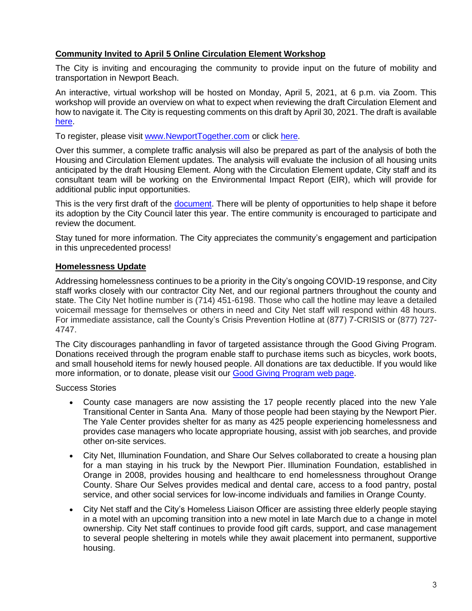#### **Community Invited to April 5 Online Circulation Element Workshop**

The City is inviting and encouraging the community to provide input on the future of mobility and transportation in Newport Beach.

An interactive, virtual workshop will be hosted on Monday, April 5, 2021, at 6 p.m. via Zoom. This workshop will provide an overview on what to expect when reviewing the draft Circulation Element and how to navigate it. The City is requesting comments on this draft by April 30, 2021. The draft is available [here.](http://www.newportbeachca.gov/DraftCEUpdate)

To register, please visit [www.NewportTogether.com](http://www.newporttogether.com/) or click [here.](https://zoom.us/meeting/register/tJEvcOuqrjgiH9aL4Lq40IHvjoFZ47SSsAXW)

Over this summer, a complete traffic analysis will also be prepared as part of the analysis of both the Housing and Circulation Element updates. The analysis will evaluate the inclusion of all housing units anticipated by the draft Housing Element. Along with the Circulation Element update, City staff and its consultant team will be working on the Environmental Impact Report (EIR), which will provide for additional public input opportunities.

This is the very first draft of the [document.](https://www.newportbeachca.gov/PLN/General_Plan_Update/Circulation_Element/2021DRAFT_Circulation_%20Element.pdf) There will be plenty of opportunities to help shape it before its adoption by the City Council later this year. The entire community is encouraged to participate and review the document.

Stay tuned for more information. The City appreciates the community's engagement and participation in this unprecedented process!

#### **Homelessness Update**

Addressing homelessness continues to be a priority in the City's ongoing COVID-19 response, and City staff works closely with our contractor City Net, and our regional partners throughout the county and state. The City Net hotline number is (714) 451-6198. Those who call the hotline may leave a detailed voicemail message for themselves or others in need and City Net staff will respond within 48 hours. For immediate assistance, call the County's Crisis Prevention Hotline at (877) 7-CRISIS or (877) 727- 4747.

The City discourages panhandling in favor of targeted assistance through the Good Giving Program. Donations received through the program enable staff to purchase items such as bicycles, work boots, and small household items for newly housed people. All donations are tax deductible. If you would like more information, or to donate, please visit our [Good Giving Program web page.](https://newportbeachca.gov/trending/community-issues/homelessness/how-you-can-help)

Success Stories

- County case managers are now assisting the 17 people recently placed into the new Yale Transitional Center in Santa Ana. Many of those people had been staying by the Newport Pier. The Yale Center provides shelter for as many as 425 people experiencing homelessness and provides case managers who locate appropriate housing, assist with job searches, and provide other on-site services.
- City Net, Illumination Foundation, and Share Our Selves collaborated to create a housing plan for a man staying in his truck by the Newport Pier. Illumination Foundation, established in Orange in 2008, provides housing and healthcare to end homelessness throughout Orange County. Share Our Selves provides medical and dental care, access to a food pantry, postal service, and other social services for low-income individuals and families in Orange County.
- City Net staff and the City's Homeless Liaison Officer are assisting three elderly people staying in a motel with an upcoming transition into a new motel in late March due to a change in motel ownership. City Net staff continues to provide food gift cards, support, and case management to several people sheltering in motels while they await placement into permanent, supportive housing.